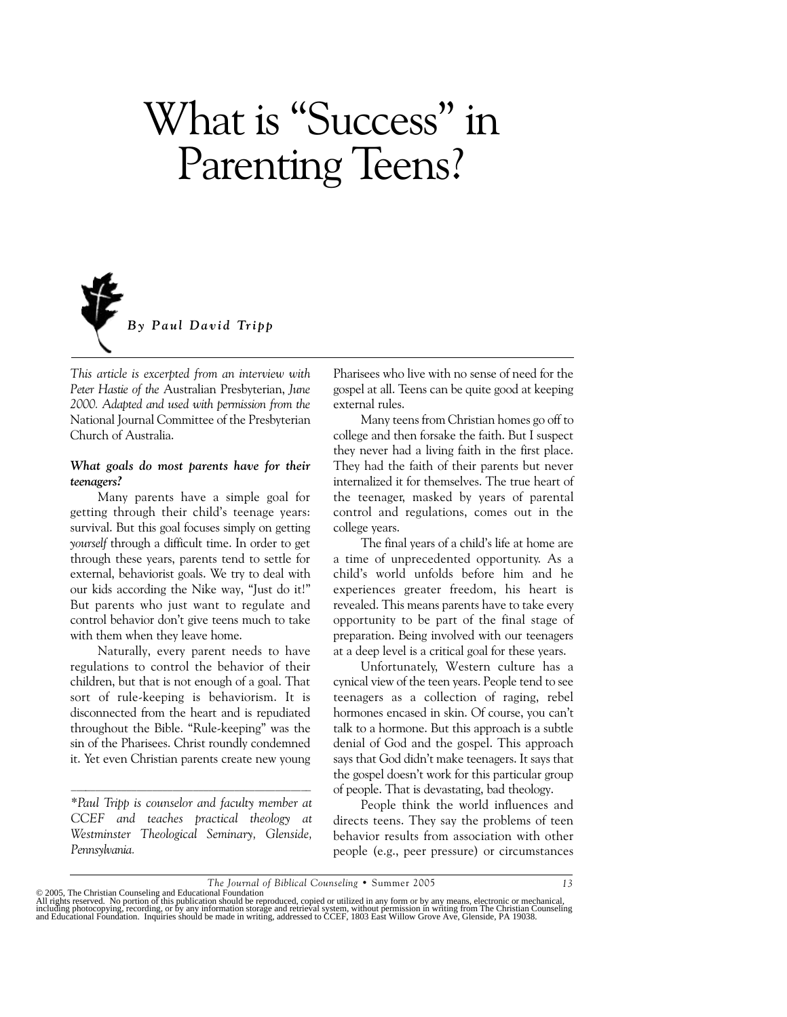What is "Success" in

Parenting Teens?

*By Paul David Tripp*

*This article is excerpted from an interview with Peter Hastie of the* Australian Presbyterian, *June 2000. Adapted and used with permission from the* National Journal Committee of the Presbyterian Church of Australia.

#### *What goals do most parents have for their teenagers?*

Many parents have a simple goal for getting through their child's teenage years: survival. But this goal focuses simply on getting *yourself* through a difficult time. In order to get through these years, parents tend to settle for external, behaviorist goals. We try to deal with our kids according the Nike way, "Just do it!" But parents who just want to regulate and control behavior don't give teens much to take with them when they leave home.

Naturally, every parent needs to have regulations to control the behavior of their children, but that is not enough of a goal. That sort of rule-keeping is behaviorism. It is disconnected from the heart and is repudiated throughout the Bible. "Rule-keeping" was the sin of the Pharisees. Christ roundly condemned it. Yet even Christian parents create new young

*\*Paul Tripp is counselor and faculty member at CCEF and teaches practical theology at Westminster Theological Seminary, Glenside, Pennsylvania.* 

Pharisees who live with no sense of need for the gospel at all. Teens can be quite good at keeping external rules.

Many teens from Christian homes go off to college and then forsake the faith. But I suspect they never had a living faith in the first place. They had the faith of their parents but never internalized it for themselves. The true heart of the teenager, masked by years of parental control and regulations, comes out in the college years.

The final years of a child's life at home are a time of unprecedented opportunity. As a child's world unfolds before him and he experiences greater freedom, his heart is revealed. This means parents have to take every opportunity to be part of the final stage of preparation. Being involved with our teenagers at a deep level is a critical goal for these years.

Unfortunately, Western culture has a cynical view of the teen years. People tend to see teenagers as a collection of raging, rebel hormones encased in skin. Of course, you can't talk to a hormone. But this approach is a subtle denial of God and the gospel. This approach says that God didn't make teenagers. It says that the gospel doesn't work for this particular group of people. That is devastating, bad theology.

People think the world influences and directs teens. They say the problems of teen behavior results from association with other people (e.g., peer pressure) or circumstances

<sup>© 2005,</sup> The Christian Counseling and Educational Foundation<br>All rights reserved. No portion of this publication should be reproduced, copied or utilized in any form or by any means, electronic or mechanical,<br>including phot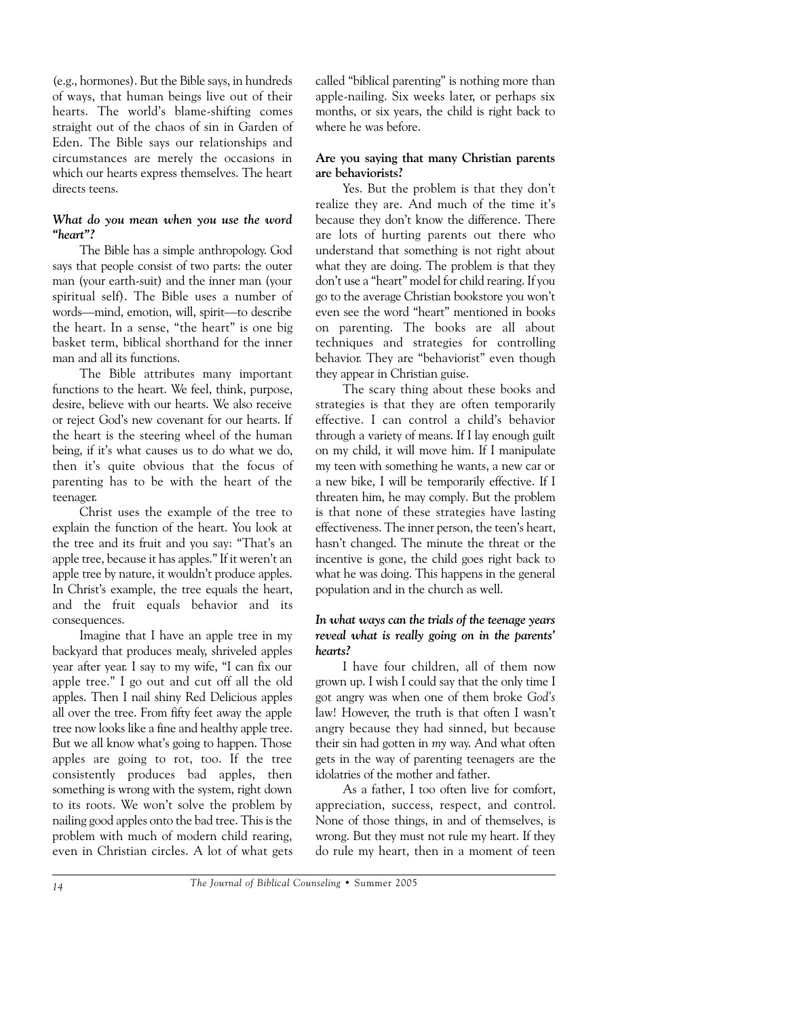(e.g., hormones). But the Bible says, in hundreds of ways, that human beings live out of their hearts. The world's blame-shifting comes straight out of the chaos of sin in Garden of Eden. The Bible says our relationships and circumstances are merely the occasions in which our hearts express themselves. The heart directs teens.

# *What do you mean when you use the word "heart"?*

The Bible has a simple anthropology. God says that people consist of two parts: the outer man (your earth-suit) and the inner man (your spiritual self). The Bible uses a number of words—mind, emotion, will, spirit—to describe the heart. In a sense, "the heart" is one big basket term, biblical shorthand for the inner man and all its functions.

The Bible attributes many important functions to the heart. We feel, think, purpose, desire, believe with our hearts. We also receive or reject God's new covenant for our hearts. If the heart is the steering wheel of the human being, if it's what causes us to do what we do, then it's quite obvious that the focus of parenting has to be with the heart of the teenager.

Christ uses the example of the tree to explain the function of the heart. You look at the tree and its fruit and you say: "That's an apple tree, because it has apples." If it weren't an apple tree by nature, it wouldn't produce apples. In Christ's example, the tree equals the heart, and the fruit equals behavior and its consequences.

Imagine that I have an apple tree in my backyard that produces mealy, shriveled apples year after year. I say to my wife, "I can fix our apple tree." I go out and cut off all the old apples. Then I nail shiny Red Delicious apples all over the tree. From fifty feet away the apple tree now looks like a fine and healthy apple tree. But we all know what's going to happen. Those apples are going to rot, too. If the tree consistently produces bad apples, then something is wrong with the system, right down to its roots. We won't solve the problem by nailing good apples onto the bad tree. This is the problem with much of modern child rearing, even in Christian circles. A lot of what gets called "biblical parenting" is nothing more than apple-nailing. Six weeks later, or perhaps six months, or six years, the child is right back to where he was before.

# **Are you saying that many Christian parents are behaviorists?**

Yes. But the problem is that they don't realize they are. And much of the time it's because they don't know the difference. There are lots of hurting parents out there who understand that something is not right about what they are doing. The problem is that they don't use a "heart" model for child rearing. If you go to the average Christian bookstore you won't even see the word "heart" mentioned in books on parenting. The books are all about techniques and strategies for controlling behavior. They are "behaviorist" even though they appear in Christian guise.

The scary thing about these books and strategies is that they are often temporarily effective. I can control a child's behavior through a variety of means. If I lay enough guilt on my child, it will move him. If I manipulate my teen with something he wants, a new car or a new bike, I will be temporarily effective. If I threaten him, he may comply. But the problem is that none of these strategies have lasting effectiveness. The inner person, the teen's heart, hasn't changed. The minute the threat or the incentive is gone, the child goes right back to what he was doing. This happens in the general population and in the church as well.

# *In what ways can the trials of the teenage years reveal what is really going on in the parents' hearts?*

I have four children, all of them now grown up. I wish I could say that the only time I got angry was when one of them broke *God's* law! However, the truth is that often I wasn't angry because they had sinned, but because their sin had gotten in *my* way. And what often gets in the way of parenting teenagers are the idolatries of the mother and father.

As a father, I too often live for comfort, appreciation, success, respect, and control. None of those things, in and of themselves, is wrong. But they must not rule my heart. If they do rule my heart, then in a moment of teen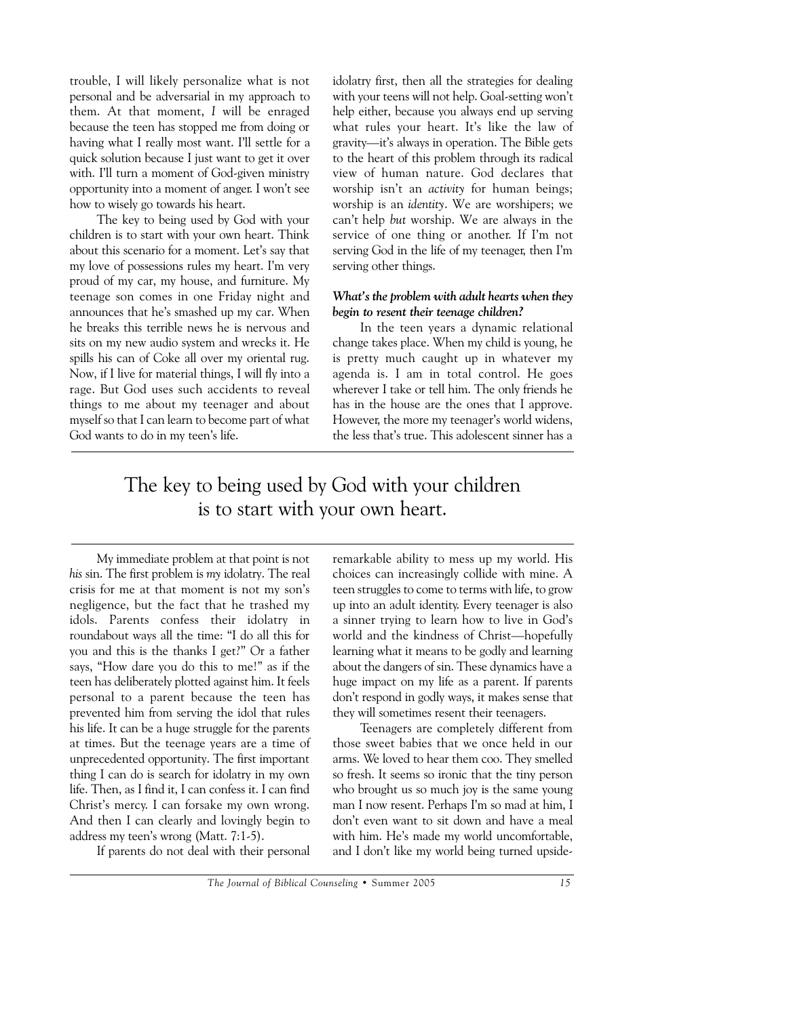trouble, I will likely personalize what is not personal and be adversarial in my approach to them. At that moment, *I* will be enraged because the teen has stopped me from doing or having what I really most want. I'll settle for a quick solution because I just want to get it over with. I'll turn a moment of God-given ministry opportunity into a moment of anger. I won't see how to wisely go towards his heart.

The key to being used by God with your children is to start with your own heart. Think about this scenario for a moment. Let's say that my love of possessions rules my heart. I'm very proud of my car, my house, and furniture. My teenage son comes in one Friday night and announces that he's smashed up my car. When he breaks this terrible news he is nervous and sits on my new audio system and wrecks it. He spills his can of Coke all over my oriental rug. Now, if I live for material things, I will fly into a rage. But God uses such accidents to reveal things to me about my teenager and about myself so that I can learn to become part of what God wants to do in my teen's life.

idolatry first, then all the strategies for dealing with your teens will not help. Goal-setting won't help either, because you always end up serving what rules your heart. It's like the law of gravity—it's always in operation. The Bible gets to the heart of this problem through its radical view of human nature. God declares that worship isn't an *activity* for human beings; worship is an *identity*. We are worshipers; we can't help *but* worship. We are always in the service of one thing or another. If I'm not serving God in the life of my teenager, then I'm serving other things.

#### *What's the problem with adult hearts when they begin to resent their teenage children?*

In the teen years a dynamic relational change takes place. When my child is young, he is pretty much caught up in whatever my agenda is. I am in total control. He goes wherever I take or tell him. The only friends he has in the house are the ones that I approve. However, the more my teenager's world widens, the less that's true. This adolescent sinner has a

# The key to being used by God with your children is to start with your own heart.

My immediate problem at that point is not *his* sin. The first problem is *my* idolatry. The real crisis for me at that moment is not my son's negligence, but the fact that he trashed my idols. Parents confess their idolatry in roundabout ways all the time: "I do all this for you and this is the thanks I get?" Or a father says, "How dare you do this to me!" as if the teen has deliberately plotted against him. It feels personal to a parent because the teen has prevented him from serving the idol that rules his life. It can be a huge struggle for the parents at times. But the teenage years are a time of unprecedented opportunity. The first important thing I can do is search for idolatry in my own life. Then, as I find it, I can confess it. I can find Christ's mercy. I can forsake my own wrong. And then I can clearly and lovingly begin to address my teen's wrong (Matt. 7:1-5).

If parents do not deal with their personal

remarkable ability to mess up my world. His choices can increasingly collide with mine. A teen struggles to come to terms with life, to grow up into an adult identity. Every teenager is also a sinner trying to learn how to live in God's world and the kindness of Christ—hopefully learning what it means to be godly and learning about the dangers of sin. These dynamics have a huge impact on my life as a parent. If parents don't respond in godly ways, it makes sense that they will sometimes resent their teenagers.

Teenagers are completely different from those sweet babies that we once held in our arms. We loved to hear them coo. They smelled so fresh. It seems so ironic that the tiny person who brought us so much joy is the same young man I now resent. Perhaps I'm so mad at him, I don't even want to sit down and have a meal with him. He's made my world uncomfortable, and I don't like my world being turned upside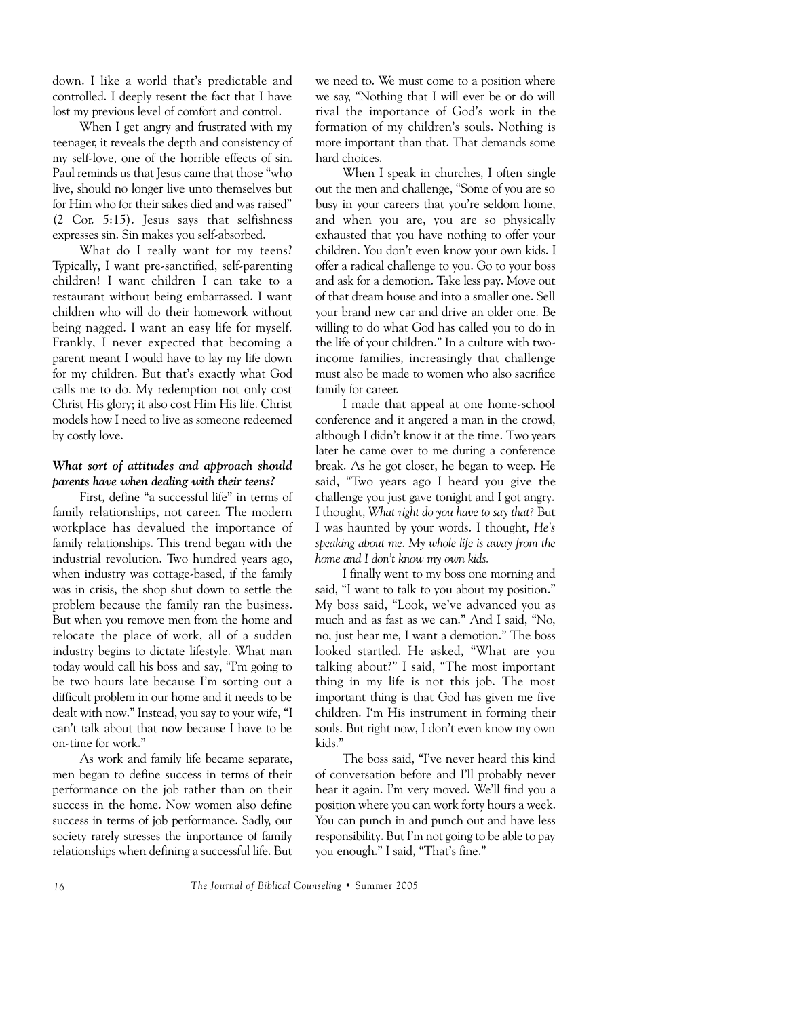down. I like a world that's predictable and controlled. I deeply resent the fact that I have lost my previous level of comfort and control.

When I get angry and frustrated with my teenager, it reveals the depth and consistency of my self-love, one of the horrible effects of sin. Paul reminds us that Jesus came that those "who live, should no longer live unto themselves but for Him who for their sakes died and was raised" (2 Cor. 5:15). Jesus says that selfishness expresses sin. Sin makes you self-absorbed.

What do I really want for my teens? Typically, I want pre-sanctified, self-parenting children! I want children I can take to a restaurant without being embarrassed. I want children who will do their homework without being nagged. I want an easy life for myself. Frankly, I never expected that becoming a parent meant I would have to lay my life down for my children. But that's exactly what God calls me to do. My redemption not only cost Christ His glory; it also cost Him His life. Christ models how I need to live as someone redeemed by costly love.

# *What sort of attitudes and approach should parents have when dealing with their teens?*

First, define "a successful life" in terms of family relationships, not career. The modern workplace has devalued the importance of family relationships. This trend began with the industrial revolution. Two hundred years ago, when industry was cottage-based, if the family was in crisis, the shop shut down to settle the problem because the family ran the business. But when you remove men from the home and relocate the place of work, all of a sudden industry begins to dictate lifestyle. What man today would call his boss and say, "I'm going to be two hours late because I'm sorting out a difficult problem in our home and it needs to be dealt with now." Instead, you say to your wife, "I can't talk about that now because I have to be on-time for work."

As work and family life became separate, men began to define success in terms of their performance on the job rather than on their success in the home. Now women also define success in terms of job performance. Sadly, our society rarely stresses the importance of family relationships when defining a successful life. But we need to. We must come to a position where we say, "Nothing that I will ever be or do will rival the importance of God's work in the formation of my children's souls. Nothing is more important than that. That demands some hard choices.

When I speak in churches, I often single out the men and challenge, "Some of you are so busy in your careers that you're seldom home, and when you are, you are so physically exhausted that you have nothing to offer your children. You don't even know your own kids. I offer a radical challenge to you. Go to your boss and ask for a demotion. Take less pay. Move out of that dream house and into a smaller one. Sell your brand new car and drive an older one. Be willing to do what God has called you to do in the life of your children." In a culture with twoincome families, increasingly that challenge must also be made to women who also sacrifice family for career.

I made that appeal at one home-school conference and it angered a man in the crowd, although I didn't know it at the time. Two years later he came over to me during a conference break. As he got closer, he began to weep. He said, "Two years ago I heard you give the challenge you just gave tonight and I got angry. I thought, *What right do you have to say that?* But I was haunted by your words. I thought, *He's speaking about me. My whole life is away from the home and I don't know my own kids.*

I finally went to my boss one morning and said, "I want to talk to you about my position." My boss said, "Look, we've advanced you as much and as fast as we can." And I said, "No, no, just hear me, I want a demotion." The boss looked startled. He asked, "What are you talking about?" I said, "The most important thing in my life is not this job. The most important thing is that God has given me five children. I'm His instrument in forming their souls. But right now, I don't even know my own kids."

The boss said, "I've never heard this kind of conversation before and I'll probably never hear it again. I'm very moved. We'll find you a position where you can work forty hours a week. You can punch in and punch out and have less responsibility. But I'm not going to be able to pay you enough." I said, "That's fine."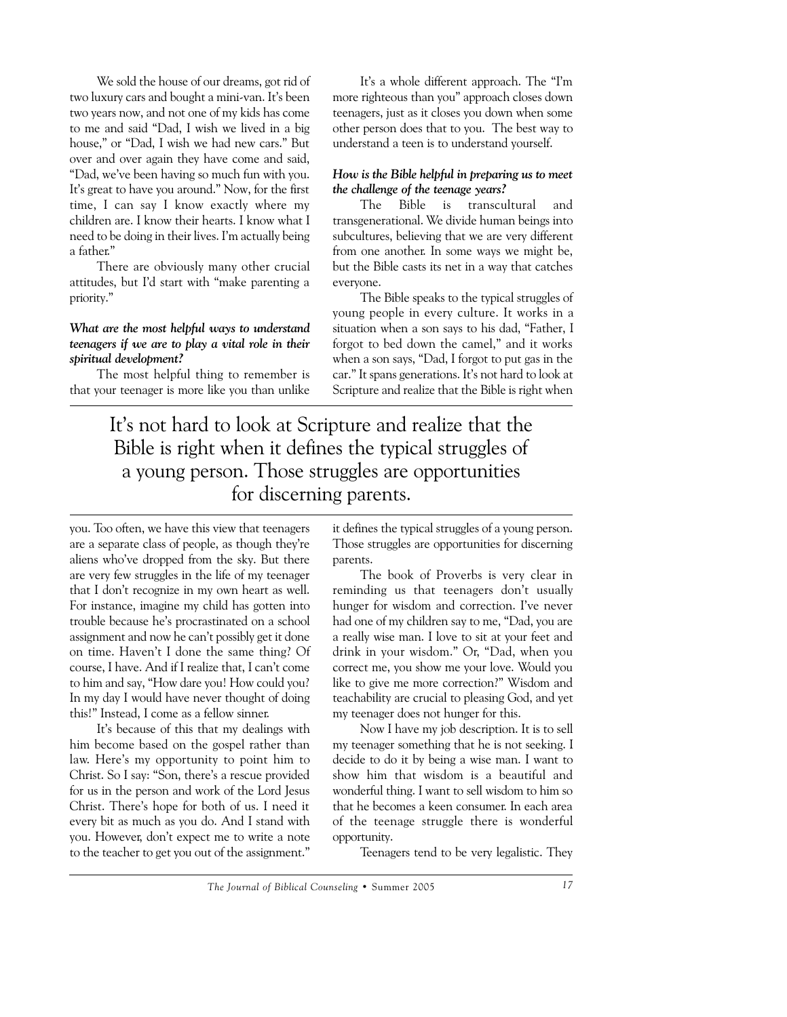We sold the house of our dreams, got rid of two luxury cars and bought a mini-van. It's been two years now, and not one of my kids has come to me and said "Dad, I wish we lived in a big house," or "Dad, I wish we had new cars." But over and over again they have come and said, "Dad, we've been having so much fun with you. It's great to have you around." Now, for the first time, I can say I know exactly where my children are. I know their hearts. I know what I need to be doing in their lives. I'm actually being a father."

There are obviously many other crucial attitudes, but I'd start with "make parenting a priority."

# *What are the most helpful ways to understand teenagers if we are to play a vital role in their spiritual development?*

The most helpful thing to remember is that your teenager is more like you than unlike

It's a whole different approach. The "I'm more righteous than you" approach closes down teenagers, just as it closes you down when some other person does that to you. The best way to understand a teen is to understand yourself.

# *How is the Bible helpful in preparing us to meet the challenge of the teenage years?*

The Bible is transcultural and transgenerational. We divide human beings into subcultures, believing that we are very different from one another. In some ways we might be, but the Bible casts its net in a way that catches everyone.

The Bible speaks to the typical struggles of young people in every culture. It works in a situation when a son says to his dad, "Father, I forgot to bed down the camel," and it works when a son says, "Dad, I forgot to put gas in the car." It spans generations. It's not hard to look at Scripture and realize that the Bible is right when

It's not hard to look at Scripture and realize that the Bible is right when it defines the typical struggles of a young person. Those struggles are opportunities for discerning parents.

you. Too often, we have this view that teenagers are a separate class of people, as though they're aliens who've dropped from the sky. But there are very few struggles in the life of my teenager that I don't recognize in my own heart as well. For instance, imagine my child has gotten into trouble because he's procrastinated on a school assignment and now he can't possibly get it done on time. Haven't I done the same thing? Of course, I have. And if I realize that, I can't come to him and say, "How dare you! How could you? In my day I would have never thought of doing this!" Instead, I come as a fellow sinner.

It's because of this that my dealings with him become based on the gospel rather than law. Here's my opportunity to point him to Christ. So I say: "Son, there's a rescue provided for us in the person and work of the Lord Jesus Christ. There's hope for both of us. I need it every bit as much as you do. And I stand with you. However, don't expect me to write a note to the teacher to get you out of the assignment."

it defines the typical struggles of a young person. Those struggles are opportunities for discerning parents.

The book of Proverbs is very clear in reminding us that teenagers don't usually hunger for wisdom and correction. I've never had one of my children say to me, "Dad, you are a really wise man. I love to sit at your feet and drink in your wisdom." Or, "Dad, when you correct me, you show me your love. Would you like to give me more correction?" Wisdom and teachability are crucial to pleasing God, and yet my teenager does not hunger for this.

Now I have my job description. It is to sell my teenager something that he is not seeking. I decide to do it by being a wise man. I want to show him that wisdom is a beautiful and wonderful thing. I want to sell wisdom to him so that he becomes a keen consumer. In each area of the teenage struggle there is wonderful opportunity.

Teenagers tend to be very legalistic. They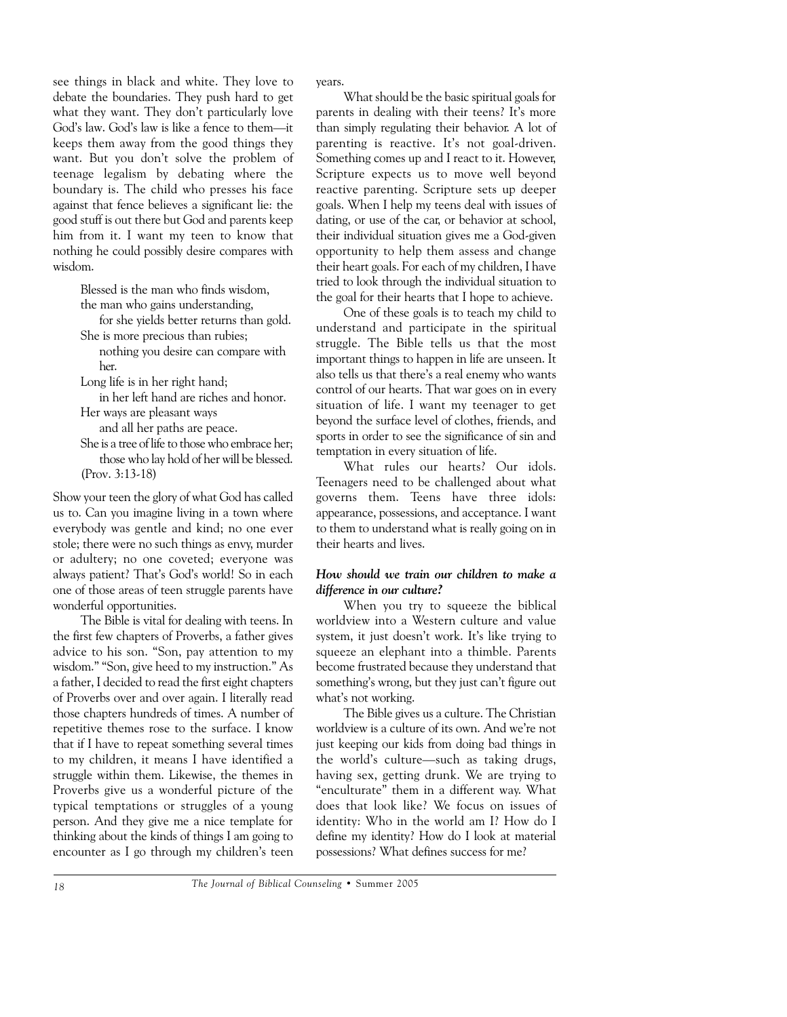see things in black and white. They love to debate the boundaries. They push hard to get what they want. They don't particularly love God's law. God's law is like a fence to them—it keeps them away from the good things they want. But you don't solve the problem of teenage legalism by debating where the boundary is. The child who presses his face against that fence believes a significant lie: the good stuff is out there but God and parents keep him from it. I want my teen to know that nothing he could possibly desire compares with wisdom.

> Blessed is the man who finds wisdom, the man who gains understanding, for she yields better returns than gold. She is more precious than rubies; nothing you desire can compare with her. Long life is in her right hand; in her left hand are riches and honor. Her ways are pleasant ways and all her paths are peace. She is a tree of life to those who embrace her; those who lay hold of her will be blessed. (Prov. 3:13-18)

Show your teen the glory of what God has called us to. Can you imagine living in a town where everybody was gentle and kind; no one ever stole; there were no such things as envy, murder or adultery; no one coveted; everyone was always patient? That's God's world! So in each one of those areas of teen struggle parents have wonderful opportunities.

The Bible is vital for dealing with teens. In the first few chapters of Proverbs, a father gives advice to his son. "Son, pay attention to my wisdom." "Son, give heed to my instruction." As a father, I decided to read the first eight chapters of Proverbs over and over again. I literally read those chapters hundreds of times. A number of repetitive themes rose to the surface. I know that if I have to repeat something several times to my children, it means I have identified a struggle within them. Likewise, the themes in Proverbs give us a wonderful picture of the typical temptations or struggles of a young person. And they give me a nice template for thinking about the kinds of things I am going to encounter as I go through my children's teen

years.

What should be the basic spiritual goals for parents in dealing with their teens? It's more than simply regulating their behavior. A lot of parenting is reactive. It's not goal-driven. Something comes up and I react to it. However, Scripture expects us to move well beyond reactive parenting. Scripture sets up deeper goals. When I help my teens deal with issues of dating, or use of the car, or behavior at school, their individual situation gives me a God-given opportunity to help them assess and change their heart goals. For each of my children, I have tried to look through the individual situation to the goal for their hearts that I hope to achieve.

One of these goals is to teach my child to understand and participate in the spiritual struggle. The Bible tells us that the most important things to happen in life are unseen. It also tells us that there's a real enemy who wants control of our hearts. That war goes on in every situation of life. I want my teenager to get beyond the surface level of clothes, friends, and sports in order to see the significance of sin and temptation in every situation of life.

What rules our hearts? Our idols. Teenagers need to be challenged about what governs them. Teens have three idols: appearance, possessions, and acceptance. I want to them to understand what is really going on in their hearts and lives.

# *How should we train our children to make a difference in our culture?*

When you try to squeeze the biblical worldview into a Western culture and value system, it just doesn't work. It's like trying to squeeze an elephant into a thimble. Parents become frustrated because they understand that something's wrong, but they just can't figure out what's not working.

The Bible gives us a culture. The Christian worldview is a culture of its own. And we're not just keeping our kids from doing bad things in the world's culture—such as taking drugs, having sex, getting drunk. We are trying to "enculturate" them in a different way. What does that look like? We focus on issues of identity: Who in the world am I? How do I define my identity? How do I look at material possessions? What defines success for me?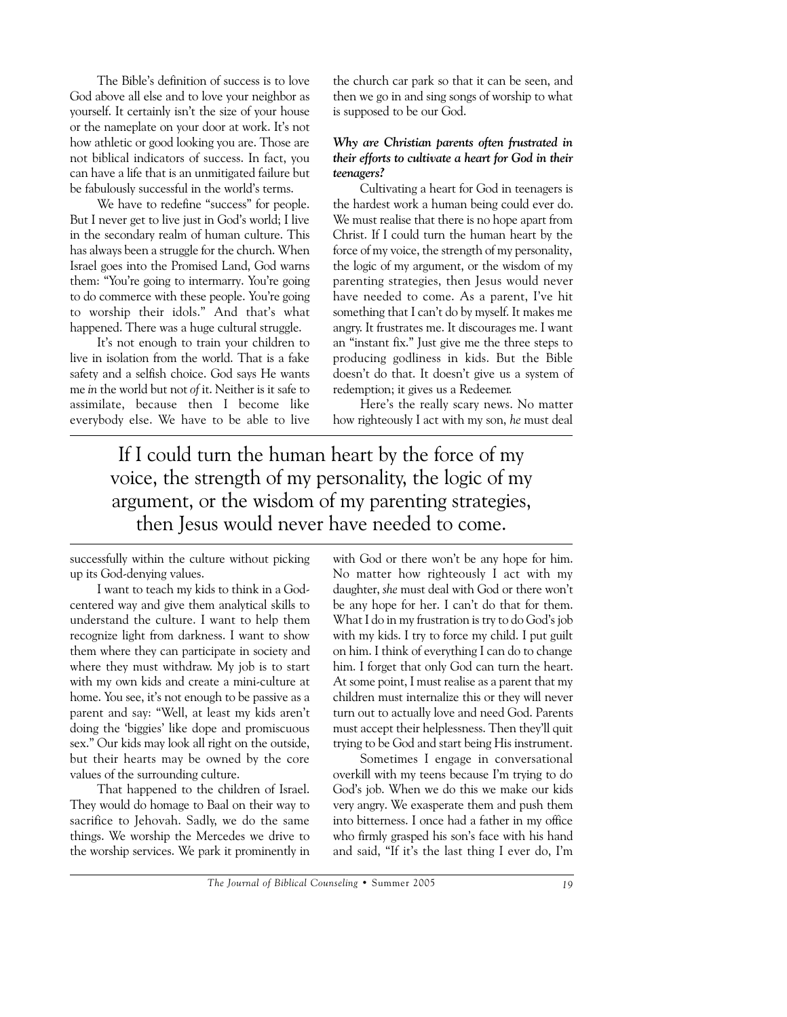The Bible's definition of success is to love God above all else and to love your neighbor as yourself. It certainly isn't the size of your house or the nameplate on your door at work. It's not how athletic or good looking you are. Those are not biblical indicators of success. In fact, you can have a life that is an unmitigated failure but be fabulously successful in the world's terms.

We have to redefine "success" for people. But I never get to live just in God's world; I live in the secondary realm of human culture. This has always been a struggle for the church. When Israel goes into the Promised Land, God warns them: "You're going to intermarry. You're going to do commerce with these people. You're going to worship their idols." And that's what happened. There was a huge cultural struggle.

It's not enough to train your children to live in isolation from the world. That is a fake safety and a selfish choice. God says He wants me *in* the world but not *of* it. Neither is it safe to assimilate, because then I become like everybody else. We have to be able to live the church car park so that it can be seen, and then we go in and sing songs of worship to what is supposed to be our God.

# *Why are Christian parents often frustrated in their efforts to cultivate a heart for God in their teenagers?*

Cultivating a heart for God in teenagers is the hardest work a human being could ever do. We must realise that there is no hope apart from Christ. If I could turn the human heart by the force of my voice, the strength of my personality, the logic of my argument, or the wisdom of my parenting strategies, then Jesus would never have needed to come. As a parent, I've hit something that I can't do by myself. It makes me angry. It frustrates me. It discourages me. I want an "instant fix." Just give me the three steps to producing godliness in kids. But the Bible doesn't do that. It doesn't give us a system of redemption; it gives us a Redeemer.

Here's the really scary news. No matter how righteously I act with my son, *he* must deal

# If I could turn the human heart by the force of my voice, the strength of my personality, the logic of my argument, or the wisdom of my parenting strategies, then Jesus would never have needed to come.

successfully within the culture without picking up its God-denying values.

I want to teach my kids to think in a Godcentered way and give them analytical skills to understand the culture. I want to help them recognize light from darkness. I want to show them where they can participate in society and where they must withdraw. My job is to start with my own kids and create a mini-culture at home. You see, it's not enough to be passive as a parent and say: "Well, at least my kids aren't doing the 'biggies' like dope and promiscuous sex." Our kids may look all right on the outside, but their hearts may be owned by the core values of the surrounding culture.

That happened to the children of Israel. They would do homage to Baal on their way to sacrifice to Jehovah. Sadly, we do the same things. We worship the Mercedes we drive to the worship services. We park it prominently in

with God or there won't be any hope for him. No matter how righteously I act with my daughter, *she* must deal with God or there won't be any hope for her. I can't do that for them. What I do in my frustration is try to do God's job with my kids. I try to force my child. I put guilt on him. I think of everything I can do to change him. I forget that only God can turn the heart. At some point, I must realise as a parent that my children must internalize this or they will never turn out to actually love and need God. Parents must accept their helplessness. Then they'll quit trying to be God and start being His instrument.

Sometimes I engage in conversational overkill with my teens because I'm trying to do God's job. When we do this we make our kids very angry. We exasperate them and push them into bitterness. I once had a father in my office who firmly grasped his son's face with his hand and said, "If it's the last thing I ever do, I'm